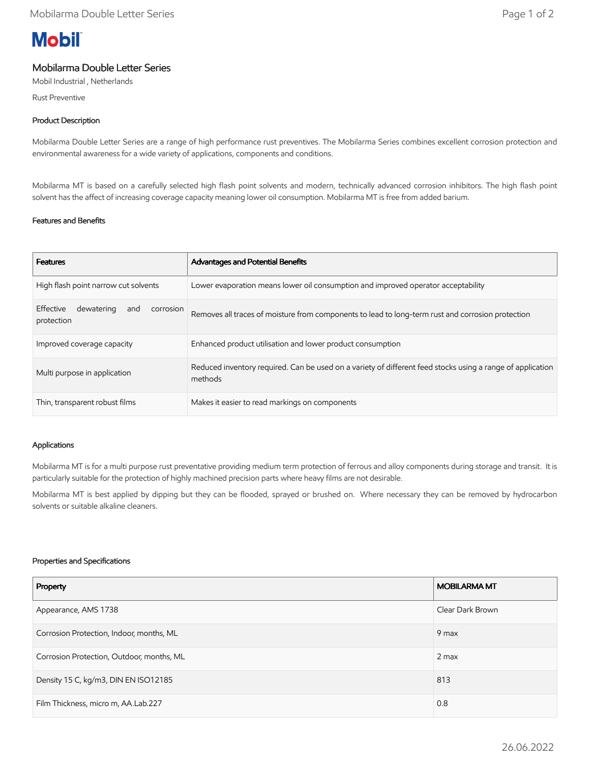# **Mobil**

# Mobilarma Double Letter Series

Mobil Industrial , Netherlands

Rust Preventive

## Product Description

Mobilarma Double Letter Series are a range of high performance rust preventives. The Mobilarma Series combines excellent corrosion protection and environmental awareness for a wide variety of applications, components and conditions.

Mobilarma MT is based on a carefully selected high flash point solvents and modern, technically advanced corrosion inhibitors. The high flash point solvent has the affect of increasing coverage capacity meaning lower oil consumption. Mobilarma MT is free from added barium.

### Features and Benefits

| <b>Features</b>                                           | Advantages and Potential Benefits                                                                                     |
|-----------------------------------------------------------|-----------------------------------------------------------------------------------------------------------------------|
| High flash point narrow cut solvents                      | Lower evaporation means lower oil consumption and improved operator acceptability                                     |
| Effective<br>dewatering<br>corrosion<br>and<br>protection | Removes all traces of moisture from components to lead to long-term rust and corrosion protection                     |
| Improved coverage capacity                                | Enhanced product utilisation and lower product consumption                                                            |
| Multi purpose in application                              | Reduced inventory required. Can be used on a variety of different feed stocks using a range of application<br>methods |
| Thin, transparent robust films                            | Makes it easier to read markings on components                                                                        |

### Applications

Mobilarma MT is for a multi purpose rust preventative providing medium term protection of ferrous and alloy components during storage and transit. It is particularly suitable for the protection of highly machined precision parts where heavy films are not desirable.

Mobilarma MT is best applied by dipping but they can be flooded, sprayed or brushed on. Where necessary they can be removed by hydrocarbon solvents or suitable alkaline cleaners.

#### Properties and Specifications

| Property                                  | <b>MOBILARMA MT</b> |
|-------------------------------------------|---------------------|
| Appearance, AMS 1738                      | Clear Dark Brown    |
| Corrosion Protection, Indoor, months, ML  | 9 max               |
| Corrosion Protection, Outdoor, months, ML | $2$ max             |
| Density 15 C, kg/m3, DIN EN ISO12185      | 813                 |
| Film Thickness, micro m, AA.Lab.227       | 0.8                 |